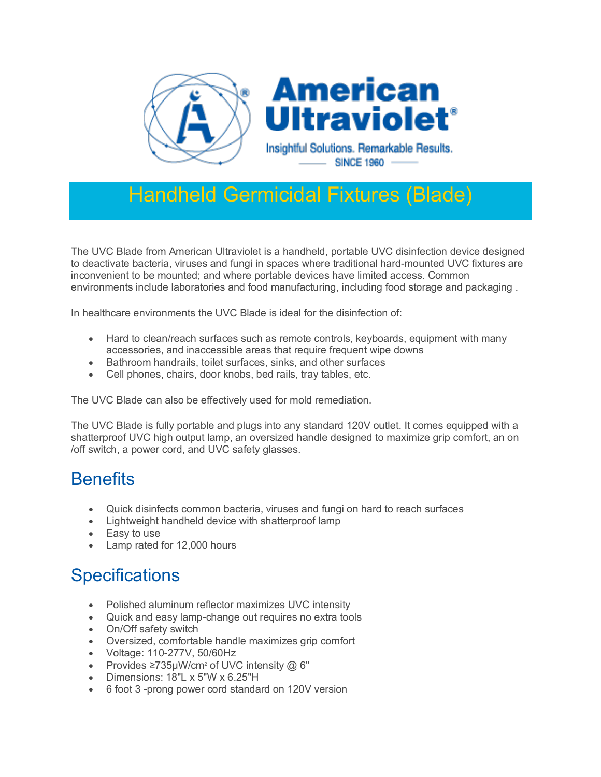

## Handheld Germicidal Fixtures (Blade)

The UVC Blade from American Ultraviolet is a handheld, portable UVC disinfection device designed to deactivate bacteria, viruses and fungi in spaces where traditional hard-mounted UVC fixtures are inconvenient to be mounted; and where portable devices have limited access. Common environments include laboratories and food manufacturing, including food storage and packaging .

In healthcare environments the UVC Blade is ideal for the disinfection of:

- Hard to clean/reach surfaces such as remote controls, keyboards, equipment with many accessories, and inaccessible areas that require frequent wipe downs
- Bathroom handrails, toilet surfaces, sinks, and other surfaces
- Cell phones, chairs, door knobs, bed rails, tray tables, etc.

The UVC Blade can also be effectively used for mold remediation.

The UVC Blade is fully portable and plugs into any standard 120V outlet. It comes equipped with a shatterproof UVC high output lamp, an oversized handle designed to maximize grip comfort, an on /off switch, a power cord, and UVC safety glasses.

## **Benefits**

- Quick disinfects common bacteria, viruses and fungi on hard to reach surfaces
- Lightweight handheld device with shatterproof lamp
- Easy to use
- Lamp rated for 12,000 hours

## **Specifications**

- Polished aluminum reflector maximizes UVC intensity
- Quick and easy lamp-change out requires no extra tools
- On/Off safety switch
- Oversized, comfortable handle maximizes grip comfort
- Voltage: 110-277V, 50/60Hz
- Provides ≥735uW/cm<sup>2</sup> of UVC intensity @ 6"
- Dimensions: 18"L x 5"W x 6.25"H
- 6 foot 3 -prong power cord standard on 120V version